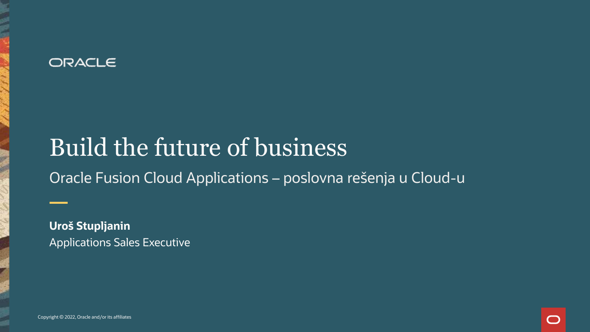#### ORACLE

## Build the future of business

Oracle Fusion Cloud Applications – poslovna rešenja u Cloud-u

**Uroš Stupljanin** Applications Sales Executive

Copyright © 2022, Oracle and/or its affiliates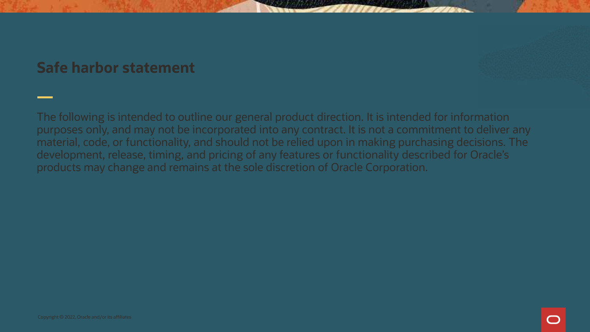#### **Safe harbor statement**

The following is intended to outline our general product direction. It is intended for information purposes only, and may not be incorporated into any contract. It is not a commitment to deliver any material, code, or functionality, and should not be relied upon in making purchasing decisions. The development, release, timing, and pricing of any features or functionality described for Oracle's products may change and remains at the sole discretion of Oracle Corporation.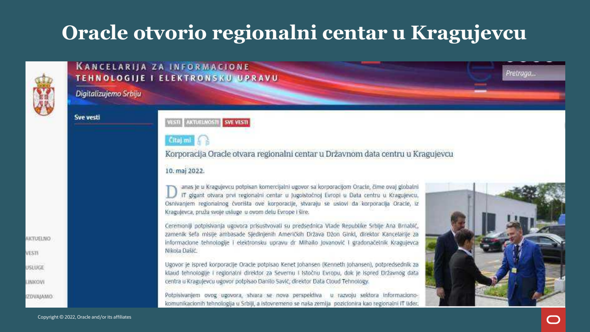### **Oracle otvorio regionalni centar u Kragujevcu**



#### **KANCELARIJA ZA INFORMACIONE TEHNOLOGIJE I ELEKTRONSKU UPRAVU**

Digitalizujemo Srbiju

**Sve vesti** 

#### VESTI : AKTUELNOSTI : SVE VESTI

#### Citaj mi

#### Korporacija Oracle otvara regionalni centar u Državnom data centru u Kragujevcu

#### 10. maj 2022.

anas je u Kragujevcu potpisan komercijalni ugovor sa korporacijom Oracle, čime ovaj globalni IT gigant otvara prvi regionalni centar u Jugolstočnoj Evropi u Data centru u Kragujevcu, Osnivanjem regionalnog čvorišta ove korporacije, stvaraju se uslovi da korporacija Oracle, iz Kragujevca, pruža svoje usluge u ovom delu Evrope i šire.

Ceremoniji potpisivanja ugovora prisustvovali su predsednica Vlade Republike Srbije Ana Brnabić, zamenik šefa misije ambasade Sjedinjenih Američkih Država Džon Glnkl, direktor Kancelarije za Informacione tehnologije i elektronsku upravu dr Mihailo Jovanović i gradonačelnik Kragujevca Nikota Dašić

Ugovor je ispred korporacije Oracle potpisao Kenet Johansen (Kenneth Johansen), potpredsednik za klaud tehnologije i regionalni direktor za Severnu i Istočnu Evropu, dok je Ispred Državnog data centra u Kragujevcu ugovor potpisao Danilo Savić, direktor Data Cloud Tehnology.

Potpisivanjem ovog ugovora, stvara se nova perspektiva u razvoju sektora informacionokomunikacionih tehnologija u Srbiji, a istovremeno se naša zemlja pozicionira kao regionalni IT lider.



Pretraga...

**IZDVAJAMO** 

OBLEETIKO

VESTI

USLUGE

**LINIKGVI**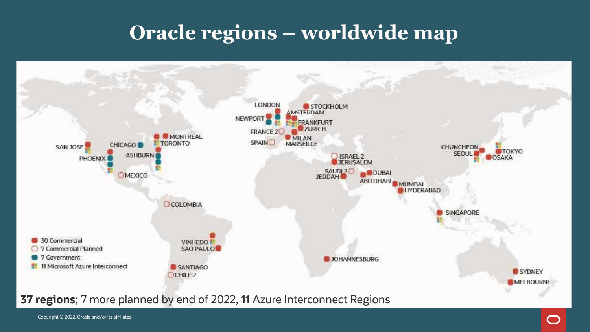### **Oracle regions – worldwide map**



Copyright © 2022, Oracle and/or its affiliates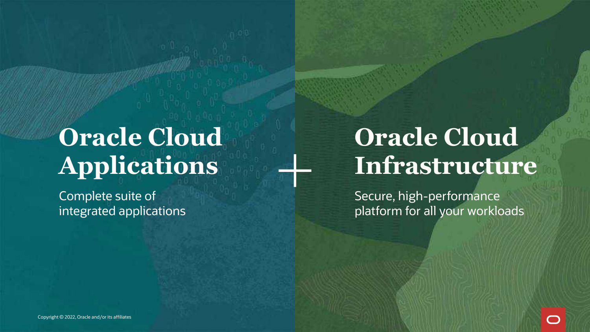# **Oracle Cloud Applications**

Complete suite of integrated applications

## **Oracle Cloud Infrastructure**

Secure, high-performance platform for all your workloads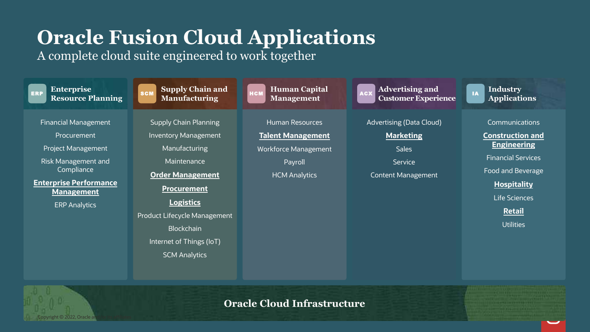### **Oracle Fusion Cloud Applications**

A complete cloud suite engineered to work together

Copyright © 2022, Oracle and/or its affiliates



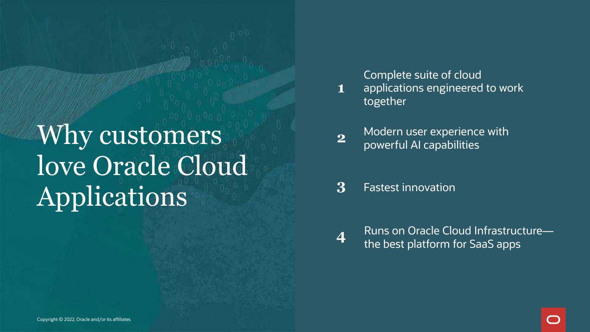Why customers love Oracle Cloud Applications

Complete suite of cloud applications engineered to work together

- Modern user experience with powerful AI capabilities **2**
- **3** Fastest innovation

**1**

Runs on Oracle Cloud Infrastructure the best platform for SaaS apps **<sup>4</sup>**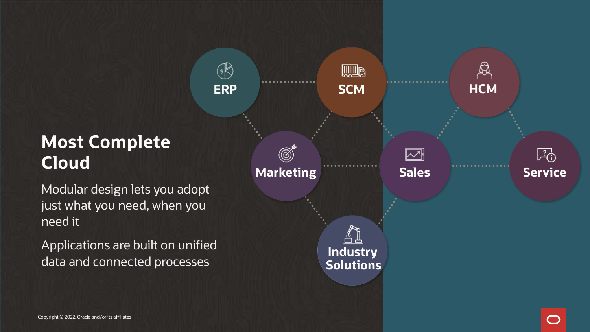### **Most Complete Cloud**

Modular design lets you adopt just what you need, when you need it

Applications are built on unified data and connected processes

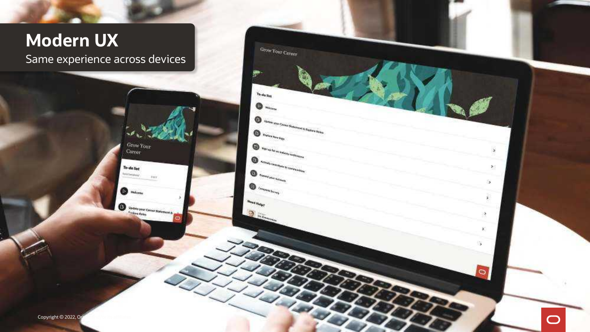#### **Modern UX** Same experience across devices

 $_{Grow\,Y_{OUL}}$ 

**Fare** 

Undate your Career Statement & Male

Career

To-do list

**Intelligencer** 

◎ **Welcare** 

œ

Grow  $\gamma_{0ur}$  Career

Classic street, Corner Stationers & Corner

 $\bullet$ 

 $\overline{\mathbf{C}}$ 

To-do Hzs

 $\label{eq:1} \bigoplus \; \mathbf{r}_{\text{intra},\mathbf{r}_{\text{intra}}}\;$ 

**Highway** Aut an Indiana Continu

 $\begin{picture}(20,10) \put(0,0){\vector(1,0){10}} \put(10,0){\vector(1,0){10}} \put(10,0){\vector(1,0){10}} \put(10,0){\vector(1,0){10}} \put(10,0){\vector(1,0){10}} \put(10,0){\vector(1,0){10}} \put(10,0){\vector(1,0){10}} \put(10,0){\vector(1,0){10}} \put(10,0){\vector(1,0){10}} \put(10,0){\vector(1,0){10}} \put(10,0){\vector(1,0){10}} \put(10,0){\vector(1$ 

 $\begin{picture}(20,10) \put(0,0){\vector(1,0){10}} \put(10,0){\vector(1,0){10}} \put(10,0){\vector(1,0){10}} \put(10,0){\vector(1,0){10}} \put(10,0){\vector(1,0){10}} \put(10,0){\vector(1,0){10}} \put(10,0){\vector(1,0){10}} \put(10,0){\vector(1,0){10}} \put(10,0){\vector(1,0){10}} \put(10,0){\vector(1,0){10}} \put(10,0){\vector(1,0){10}} \put(10,0){\vector(1$ 

 $\begin{picture}(20,10) \put(0,0){\line(1,0){10}} \put(10,0){\line(1,0){10}} \put(10,0){\line(1,0){10}} \put(10,0){\line(1,0){10}} \put(10,0){\line(1,0){10}} \put(10,0){\line(1,0){10}} \put(10,0){\line(1,0){10}} \put(10,0){\line(1,0){10}} \put(10,0){\line(1,0){10}} \put(10,0){\line(1,0){10}} \put(10,0){\line(1,0){10}} \put(10,0){\line(1$ 

 $u_{\rm end\,Npc}$ 

Ð

◉

G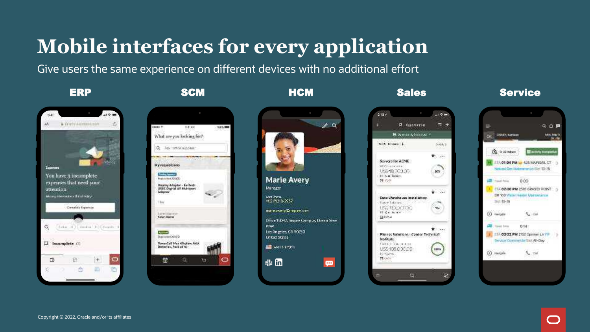### **Mobile interfaces for every application**

Give users the same experience on different devices with no additional effort

| tildt.          |                                                           |   |   |
|-----------------|-----------------------------------------------------------|---|---|
|                 |                                                           |   |   |
|                 |                                                           |   |   |
| <b>Lionnais</b> |                                                           |   |   |
|                 | You have 3 incomplete                                     |   |   |
| attention       | expenses that need your<br><b>Belley Hookson Davidsey</b> |   |   |
|                 | Conside Express                                           |   |   |
|                 |                                                           |   |   |
| ä               | Sina (4) (imitul 3) (Feeth                                |   |   |
|                 |                                                           |   |   |
| π.              | Incomplete (2)                                            |   |   |
| B               | (15)                                                      |   |   |
| ¢               | ō                                                         | m | n |





 $-9.9$  $2.18x$  $= +$ **P.** Copportunities **Philippens and y featured in the** brilly delivered 1.  $1 + 14 + 1$ \* ... Servers for ACME WWW.company US\$48,703.30 **XG** trival kras. MY CORE  $+ - 34$ Date Warehouse Installation Court Saksan 032230000 126  $15.64.3.44$ Basso † ⊸a Fitness Solutions - Cantor Technical Institute United Street, Andrea USS 138.000.00 100%  $1<12.76$ **MAGE** 收 Ŀ.

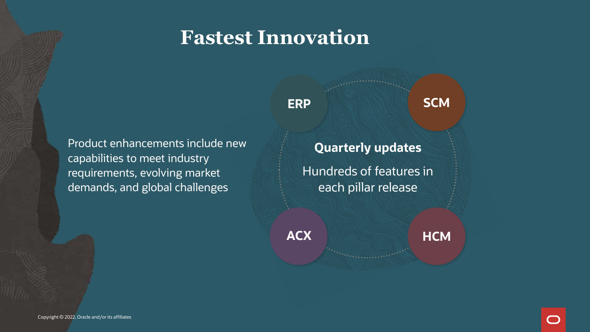### **Fastest Innovation**

Product enhancements include new capabilities to meet industry requirements, evolving market demands, and global challenges

**Quarterly updates** Hundreds of features in each pillar release

**ERP SCM**

**ACX**

**HCM**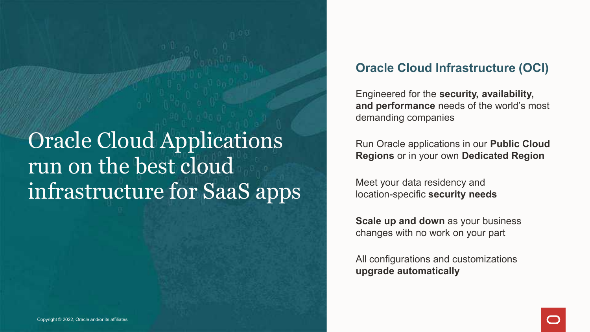Oracle Cloud Applications run on the best cloud infrastructure for SaaS apps

#### **Oracle Cloud Infrastructure (OCI)**

Engineered for the **security, availability, and performance** needs of the world's most demanding companies

Run Oracle applications in our **Public Cloud Regions** or in your own **Dedicated Region**

Meet your data residency and location-specific **security needs**

**Scale up and down** as your business changes with no work on your part

All configurations and customizations **upgrade automatically**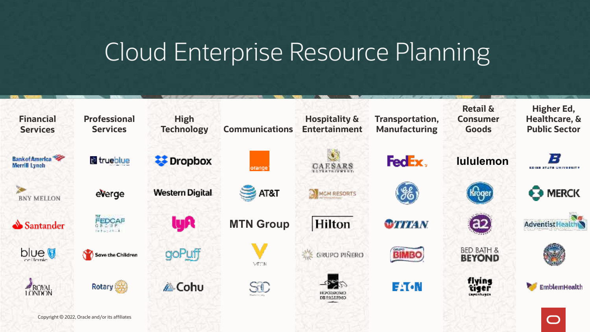## Cloud Enterprise Resource Planning

| <b>Financial</b><br><b>Services</b>     | <b>Professional</b><br><b>Services</b>         | <b>High</b><br><b>Technology</b> | <b>Communications</b> | <b>Hospitality &amp;</b><br><b>Entertainment</b> | <b>Transportation,</b><br><b>Manufacturing</b> | <b>Retail &amp;</b><br><b>Consumer</b><br><b>Goods</b> | Higher Ed,<br>Healthcare, &<br><b>Public Sector</b> |
|-----------------------------------------|------------------------------------------------|----------------------------------|-----------------------|--------------------------------------------------|------------------------------------------------|--------------------------------------------------------|-----------------------------------------------------|
| <b>Bank of America</b><br>Merrill Lynch | trueblue                                       | <b>EX</b> Dropbox                | orange <sup>®</sup>   | CAESARS                                          | FedEx,                                         | <b>lululemon</b>                                       | ъ<br><b>EDISE STATE UNIVERSITY</b>                  |
| <b>BNY MELLON</b>                       | everge                                         | <b>Western Digital</b>           | AT&T                  | MOM RESORTS                                      | $\mathscr{E}_{\mathbf{C}}$                     | Kroger                                                 | <b>63 MERCK</b>                                     |
| Santander                               | FEDCAP<br>$1 + 1 - 11 - 1$                     | lyA                              | <b>MTN Group</b>      | <b>Hilton</b>                                    | <b>OTTTAN</b>                                  | (a2)                                                   | <b>Adventist Health</b>                             |
| <b>blue</b>                             | Save the Children                              | goPuff                           | <b>MECNI</b>          | <b>SAVE GRUPO PIÑERO</b>                         | <b>BIMBO</b>                                   | <b>BED BATH &amp;</b><br><b>BEYOND</b>                 |                                                     |
| ROYAL<br>LONDON                         | Rotary (                                       | <b>A</b> Coh∪                    | SID                   | 中学<br><b>HIPODROMO</b><br>DE PALERMO             | EATON                                          | flying<br>tiger<br>orchase                             | EmblemHealth                                        |
|                                         | Copyright © 2022, Oracle and/or its affiliates |                                  |                       |                                                  |                                                |                                                        |                                                     |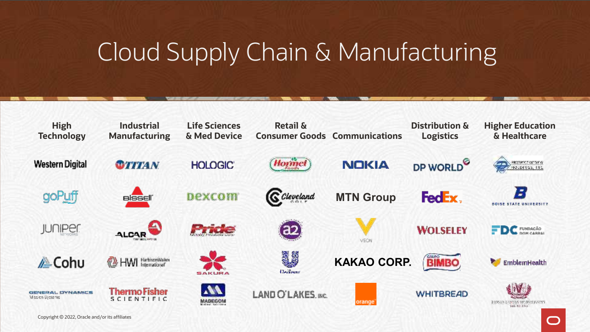## Cloud Supply Chain & Manufacturing

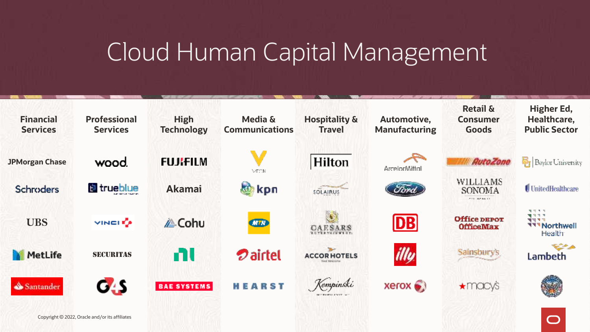## Cloud Human Capital Management



 $\bigcirc$